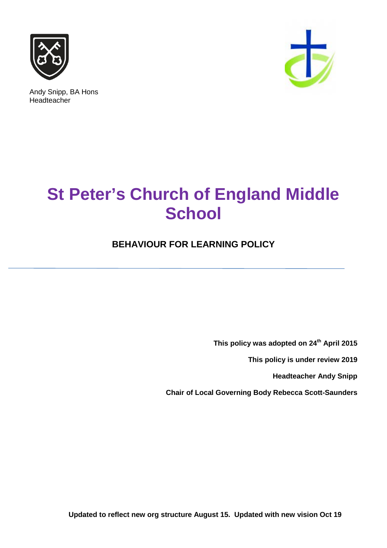

Andy Snipp, BA Hons Headteacher



# **St Peter's Church of England Middle School**

### **BEHAVIOUR FOR LEARNING POLICY**

**This policy was adopted on 24th April 2015**

**This policy is under review 2019**

**Headteacher Andy Snipp**

**Chair of Local Governing Body Rebecca Scott-Saunders**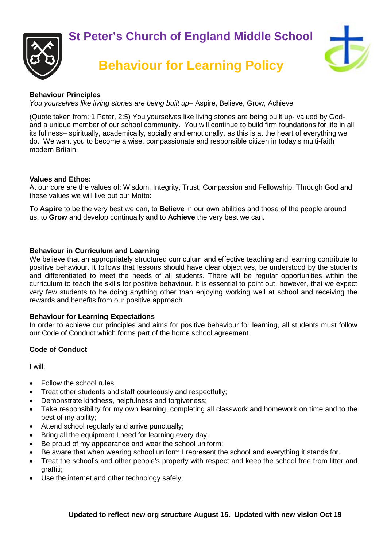



## **Behaviour for Learning Policy**



#### **Behaviour Principles**

*You yourselves like living stones are being built up*– Aspire, Believe, Grow, Achieve

(Quote taken from: 1 Peter, 2:5) You yourselves like living stones are being built up- valued by Godand a unique member of our school community. You will continue to build firm foundations for life in all its fullness– spiritually, academically, socially and emotionally, as this is at the heart of everything we do. We want you to become a wise, compassionate and responsible citizen in today's multi-faith modern Britain.

#### **Values and Ethos:**

At our core are the values of: Wisdom, Integrity, Trust, Compassion and Fellowship. Through God and these values we will live out our Motto:

To **Aspire** to be the very best we can, to **Believe** in our own abilities and those of the people around us, to **Grow** and develop continually and to **Achieve** the very best we can.

#### **Behaviour in Curriculum and Learning**

We believe that an appropriately structured curriculum and effective teaching and learning contribute to positive behaviour. It follows that lessons should have clear objectives, be understood by the students and differentiated to meet the needs of all students. There will be regular opportunities within the curriculum to teach the skills for positive behaviour. It is essential to point out, however, that we expect very few students to be doing anything other than enjoying working well at school and receiving the rewards and benefits from our positive approach.

#### **Behaviour for Learning Expectations**

In order to achieve our principles and aims for positive behaviour for learning, all students must follow our Code of Conduct which forms part of the home school agreement.

#### **Code of Conduct**

I will:

- Follow the school rules:
- Treat other students and staff courteously and respectfully;
- Demonstrate kindness, helpfulness and forgiveness;
- Take responsibility for my own learning, completing all classwork and homework on time and to the best of my ability;
- Attend school regularly and arrive punctually:
- Bring all the equipment I need for learning every day;
- Be proud of my appearance and wear the school uniform;
- Be aware that when wearing school uniform I represent the school and everything it stands for.
- Treat the school's and other people's property with respect and keep the school free from litter and graffiti;
- Use the internet and other technology safely;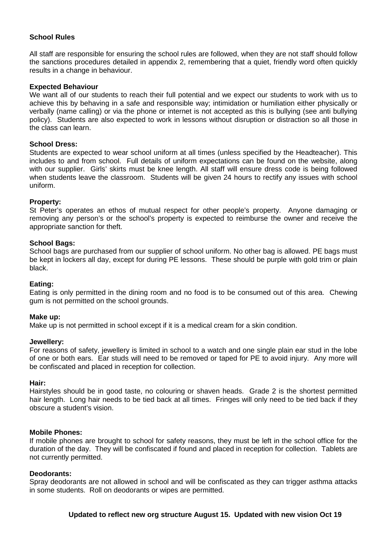#### **School Rules**

All staff are responsible for ensuring the school rules are followed, when they are not staff should follow the sanctions procedures detailed in appendix 2, remembering that a quiet, friendly word often quickly results in a change in behaviour.

#### **Expected Behaviour**

We want all of our students to reach their full potential and we expect our students to work with us to achieve this by behaving in a safe and responsible way; intimidation or humiliation either physically or verbally (name calling) or via the phone or internet is not accepted as this is bullying (see anti bullying policy). Students are also expected to work in lessons without disruption or distraction so all those in the class can learn.

#### **School Dress:**

Students are expected to wear school uniform at all times (unless specified by the Headteacher). This includes to and from school. Full details of uniform expectations can be found on the website, along with our supplier. Girls' skirts must be knee length. All staff will ensure dress code is being followed when students leave the classroom. Students will be given 24 hours to rectify any issues with school uniform.

#### **Property:**

St Peter's operates an ethos of mutual respect for other people's property. Anyone damaging or removing any person's or the school's property is expected to reimburse the owner and receive the appropriate sanction for theft.

#### **School Bags:**

School bags are purchased from our supplier of school uniform. No other bag is allowed. PE bags must be kept in lockers all day, except for during PE lessons. These should be purple with gold trim or plain black.

#### **Eating:**

Eating is only permitted in the dining room and no food is to be consumed out of this area. Chewing gum is not permitted on the school grounds.

#### **Make up:**

Make up is not permitted in school except if it is a medical cream for a skin condition.

#### **Jewellery:**

For reasons of safety, jewellery is limited in school to a watch and one single plain ear stud in the lobe of one or both ears. Ear studs will need to be removed or taped for PE to avoid injury. Any more will be confiscated and placed in reception for collection.

#### **Hair:**

Hairstyles should be in good taste, no colouring or shaven heads. Grade 2 is the shortest permitted hair length. Long hair needs to be tied back at all times. Fringes will only need to be tied back if they obscure a student's vision.

#### **Mobile Phones:**

If mobile phones are brought to school for safety reasons, they must be left in the school office for the duration of the day. They will be confiscated if found and placed in reception for collection. Tablets are not currently permitted.

#### **Deodorants:**

Spray deodorants are not allowed in school and will be confiscated as they can trigger asthma attacks in some students. Roll on deodorants or wipes are permitted.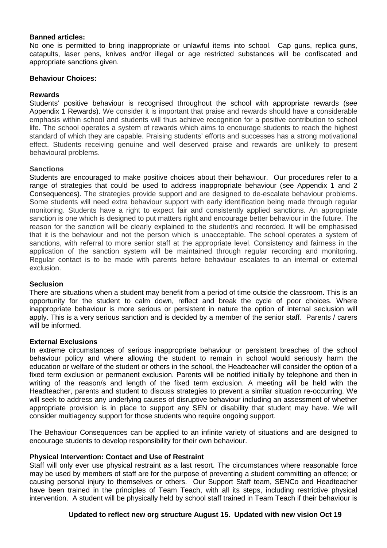#### **Banned articles:**

No one is permitted to bring inappropriate or unlawful items into school. Cap guns, replica guns, catapults, laser pens, knives and/or illegal or age restricted substances will be confiscated and appropriate sanctions given.

#### **Behaviour Choices:**

#### **Rewards**

Students' positive behaviour is recognised throughout the school with appropriate rewards (see Appendix 1 Rewards). We consider it is important that praise and rewards should have a considerable emphasis within school and students will thus achieve recognition for a positive contribution to school life. The school operates a system of rewards which aims to encourage students to reach the highest standard of which they are capable. Praising students' efforts and successes has a strong motivational effect. Students receiving genuine and well deserved praise and rewards are unlikely to present behavioural problems.

#### **Sanctions**

Students are encouraged to make positive choices about their behaviour. Our procedures refer to a range of strategies that could be used to address inappropriate behaviour (see Appendix 1 and 2 Consequences). The strategies provide support and are designed to de-escalate behaviour problems. Some students will need extra behaviour support with early identification being made through regular monitoring. Students have a right to expect fair and consistently applied sanctions. An appropriate sanction is one which is designed to put matters right and encourage better behaviour in the future. The reason for the sanction will be clearly explained to the student/s and recorded. It will be emphasised that it is the behaviour and not the person which is unacceptable. The school operates a system of sanctions, with referral to more senior staff at the appropriate level. Consistency and fairness in the application of the sanction system will be maintained through regular recording and monitoring. Regular contact is to be made with parents before behaviour escalates to an internal or external exclusion.

#### **Seclusion**

There are situations when a student may benefit from a period of time outside the classroom. This is an opportunity for the student to calm down, reflect and break the cycle of poor choices. Where inappropriate behaviour is more serious or persistent in nature the option of internal seclusion will apply. This is a very serious sanction and is decided by a member of the senior staff. Parents / carers will be informed.

#### **External Exclusions**

In extreme circumstances of serious inappropriate behaviour or persistent breaches of the school behaviour policy and where allowing the student to remain in school would seriously harm the education or welfare of the student or others in the school, the Headteacher will consider the option of a fixed term exclusion or permanent exclusion. Parents will be notified initially by telephone and then in writing of the reason/s and length of the fixed term exclusion. A meeting will be held with the Headteacher, parents and student to discuss strategies to prevent a similar situation re-occurring. We will seek to address any underlying causes of disruptive behaviour including an assessment of whether appropriate provision is in place to support any SEN or disability that student may have. We will consider multiagency support for those students who require ongoing support.

The Behaviour Consequences can be applied to an infinite variety of situations and are designed to encourage students to develop responsibility for their own behaviour.

#### **Physical Intervention: Contact and Use of Restraint**

Staff will only ever use physical restraint as a last resort. The circumstances where reasonable force may be used by members of staff are for the purpose of preventing a student committing an offence; or causing personal injury to themselves or others. Our Support Staff team, SENCo and Headteacher have been trained in the principles of Team Teach, with all its steps, including restrictive physical intervention. A student will be physically held by school staff trained in Team Teach if their behaviour is

#### **Updated to reflect new org structure August 15. Updated with new vision Oct 19**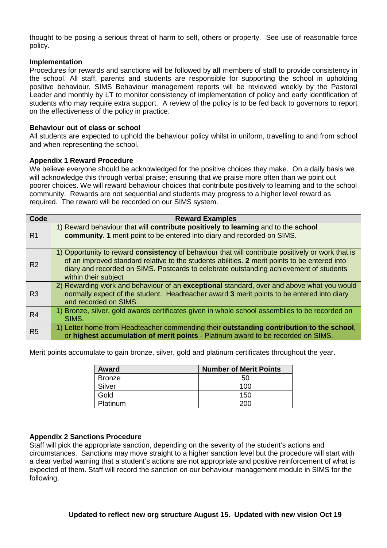thought to be posing a serious threat of harm to self, others or property. See use of reasonable force policy.

#### **Implementation**

Procedures for rewards and sanctions will be followed by **all** members of staff to provide consistency in the school. All staff, parents and students are responsible for supporting the school in upholding positive behaviour. SIMS Behaviour management reports will be reviewed weekly by the Pastoral Leader and monthly by LT to monitor consistency of implementation of policy and early identification of students who may require extra support. A review of the policy is to be fed back to governors to report on the effectiveness of the policy in practice.

#### **Behaviour out of class or school**

All students are expected to uphold the behaviour policy whilst in uniform, travelling to and from school and when representing the school.

#### **Appendix 1 Reward Procedure**

We believe everyone should be acknowledged for the positive choices they make. On a daily basis we will acknowledge this through verbal praise; ensuring that we praise more often than we point out poorer choices. We will reward behaviour choices that contribute positively to learning and to the school community. Rewards are not sequential and students may progress to a higher level reward as required. The reward will be recorded on our SIMS system.

| Code           | <b>Reward Examples</b>                                                                                                                                                                                                                                                                                               |  |  |
|----------------|----------------------------------------------------------------------------------------------------------------------------------------------------------------------------------------------------------------------------------------------------------------------------------------------------------------------|--|--|
| R <sub>1</sub> | 1) Reward behaviour that will contribute positively to learning and to the school<br>community. 1 merit point to be entered into diary and recorded on SIMS.                                                                                                                                                         |  |  |
| R <sub>2</sub> | 1) Opportunity to reward consistency of behaviour that will contribute positively or work that is<br>of an improved standard relative to the students abilities. 2 merit points to be entered into<br>diary and recorded on SIMS. Postcards to celebrate outstanding achievement of students<br>within their subject |  |  |
| R <sub>3</sub> | 2) Rewarding work and behaviour of an exceptional standard, over and above what you would<br>normally expect of the student. Headteacher award 3 merit points to be entered into diary<br>and recorded on SIMS.                                                                                                      |  |  |
| R <sub>4</sub> | 1) Bronze, silver, gold awards certificates given in whole school assemblies to be recorded on<br>SIMS.                                                                                                                                                                                                              |  |  |
| R <sub>5</sub> | 1) Letter home from Headteacher commending their outstanding contribution to the school,<br>or highest accumulation of merit points - Platinum award to be recorded on SIMS.                                                                                                                                         |  |  |

Merit points accumulate to gain bronze, silver, gold and platinum certificates throughout the year.

| Award         | <b>Number of Merit Points</b> |
|---------------|-------------------------------|
| <b>Bronze</b> | 50                            |
| Silver        | 100                           |
| Gold          | 150                           |
| Platinum      |                               |

#### **Appendix 2 Sanctions Procedure**

Staff will pick the appropriate sanction, depending on the severity of the student's actions and circumstances. Sanctions may move straight to a higher sanction level but the procedure will start with a clear verbal warning that a student's actions are not appropriate and positive reinforcement of what is expected of them. Staff will record the sanction on our behaviour management module in SIMS for the following.